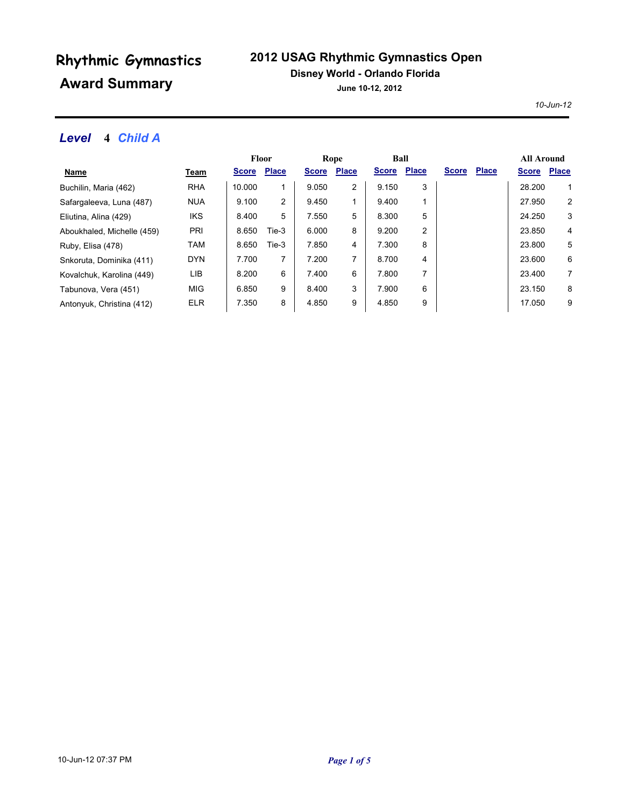## **2012 USAG Rhythmic Gymnastics Open**

#### **Disney World - Orlando Florida**

**June 10-12, 2012**

*10-Jun-12*

### *Level* **4** *Child A*

|                            |            | <b>Floor</b> |              | Rope         |              | Ball         |              |              |              | <b>All Around</b> |              |
|----------------------------|------------|--------------|--------------|--------------|--------------|--------------|--------------|--------------|--------------|-------------------|--------------|
| Name                       | Team       | <b>Score</b> | <b>Place</b> | <b>Score</b> | <b>Place</b> | <b>Score</b> | <b>Place</b> | <b>Score</b> | <b>Place</b> | <b>Score</b>      | <b>Place</b> |
| Buchilin, Maria (462)      | <b>RHA</b> | 10.000       | 1            | 9.050        | 2            | 9.150        | 3            |              |              | 28.200            | 1            |
| Safargaleeva, Luna (487)   | <b>NUA</b> | 9.100        | 2            | 9.450        |              | 9.400        |              |              |              | 27.950            | 2            |
| Eliutina, Alina (429)      | IKS        | 8.400        | 5            | 7.550        | 5            | 8.300        | 5            |              |              | 24.250            | 3            |
| Aboukhaled, Michelle (459) | <b>PRI</b> | 8.650        | Tie-3        | 6.000        | 8            | 9.200        | 2            |              |              | 23.850            | 4            |
| Ruby, Elisa (478)          | TAM        | 8.650        | Tie-3        | 7.850        | 4            | 7.300        | 8            |              |              | 23,800            | 5            |
| Snkoruta, Dominika (411)   | <b>DYN</b> | 7.700        | 7            | 7.200        |              | 8.700        | 4            |              |              | 23.600            | 6            |
| Kovalchuk, Karolina (449)  | LIB        | 8.200        | 6            | 7.400        | 6            | 7.800        | 7            |              |              | 23.400            | 7            |
| Tabunova, Vera (451)       | <b>MIG</b> | 6.850        | 9            | 8.400        | 3            | 7.900        | 6            |              |              | 23.150            | 8            |
| Antonyuk, Christina (412)  | <b>ELR</b> | 7.350        | 8            | 4.850        | 9            | 4.850        | 9            |              |              | 17.050            | 9            |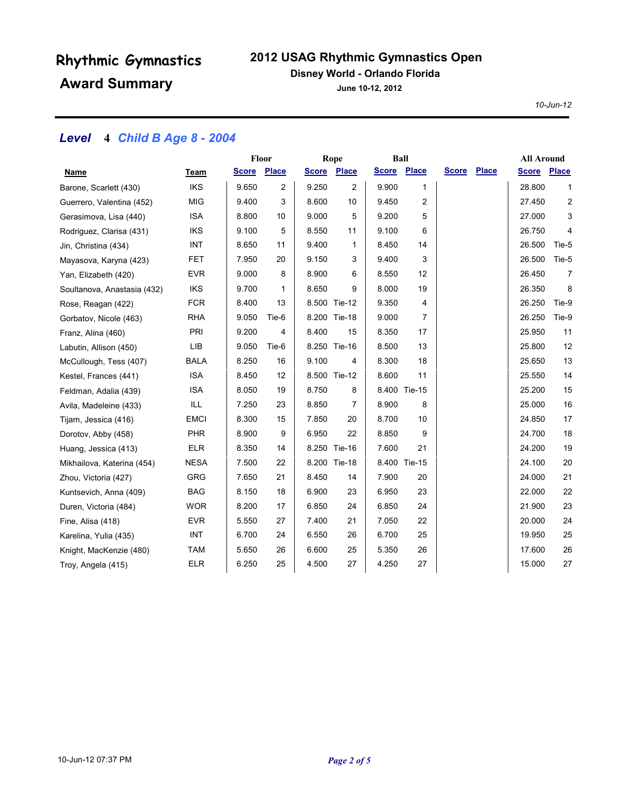## **2012 USAG Rhythmic Gymnastics Open**

#### **Disney World - Orlando Florida**

**June 10-12, 2012**

*10-Jun-12*

## *Level* **4** *Child B Age 8 - 2004*

|                             |             | Floor        |       |              | Rope           |              | Ball         |              |              | <b>All Around</b> |                |
|-----------------------------|-------------|--------------|-------|--------------|----------------|--------------|--------------|--------------|--------------|-------------------|----------------|
| Name                        | Team        | <b>Score</b> | Place | <b>Score</b> | Place          | <u>Score</u> | Place        | <b>Score</b> | <b>Place</b> | <b>Score</b>      | <b>Place</b>   |
| Barone, Scarlett (430)      | <b>IKS</b>  | 9.650        | 2     | 9.250        | $\overline{c}$ | 9.900        | 1            |              |              | 28.800            | $\mathbf{1}$   |
| Guerrero, Valentina (452)   | <b>MIG</b>  | 9.400        | 3     | 8.600        | 10             | 9.450        | 2            |              |              | 27.450            | 2              |
| Gerasimova, Lisa (440)      | <b>ISA</b>  | 8.800        | 10    | 9.000        | 5              | 9.200        | 5            |              |              | 27.000            | 3              |
| Rodriguez, Clarisa (431)    | <b>IKS</b>  | 9.100        | 5     | 8.550        | 11             | 9.100        | 6            |              |              | 26.750            | 4              |
| Jin, Christina (434)        | INT         | 8.650        | 11    | 9.400        | 1              | 8.450        | 14           |              |              | 26.500            | Tie-5          |
| Mayasova, Karyna (423)      | <b>FET</b>  | 7.950        | 20    | 9.150        | 3              | 9.400        | 3            |              |              | 26.500            | Tie-5          |
| Yan, Elizabeth (420)        | <b>EVR</b>  | 9.000        | 8     | 8.900        | 6              | 8.550        | 12           |              |              | 26.450            | $\overline{7}$ |
| Soultanova, Anastasia (432) | <b>IKS</b>  | 9.700        | 1     | 8.650        | 9              | 8.000        | 19           |              |              | 26.350            | 8              |
| Rose, Reagan (422)          | <b>FCR</b>  | 8.400        | 13    |              | 8.500 Tie-12   | 9.350        | 4            |              |              | 26.250            | Tie-9          |
| Gorbatov, Nicole (463)      | <b>RHA</b>  | 9.050        | Tie-6 |              | 8.200 Tie-18   | 9.000        | 7            |              |              | 26.250            | Tie-9          |
| Franz, Alina (460)          | PRI         | 9.200        | 4     | 8.400        | 15             | 8.350        | 17           |              |              | 25.950            | 11             |
| Labutin, Allison (450)      | LIB         | 9.050        | Tie-6 |              | 8.250 Tie-16   | 8.500        | 13           |              |              | 25.800            | 12             |
| McCullough, Tess (407)      | <b>BALA</b> | 8.250        | 16    | 9.100        | 4              | 8.300        | 18           |              |              | 25.650            | 13             |
| Kestel, Frances (441)       | <b>ISA</b>  | 8.450        | 12    |              | 8.500 Tie-12   | 8.600        | 11           |              |              | 25.550            | 14             |
| Feldman, Adalia (439)       | <b>ISA</b>  | 8.050        | 19    | 8.750        | 8              |              | 8.400 Tie-15 |              |              | 25.200            | 15             |
| Avila, Madeleine (433)      | ILL         | 7.250        | 23    | 8.850        | 7              | 8.900        | 8            |              |              | 25.000            | 16             |
| Tijam, Jessica (416)        | <b>EMCI</b> | 8.300        | 15    | 7.850        | 20             | 8.700        | 10           |              |              | 24.850            | 17             |
| Dorotov, Abby (458)         | <b>PHR</b>  | 8.900        | 9     | 6.950        | 22             | 8.850        | 9            |              |              | 24.700            | 18             |
| Huang, Jessica (413)        | <b>ELR</b>  | 8.350        | 14    | 8.250        | <b>Tie-16</b>  | 7.600        | 21           |              |              | 24.200            | 19             |
| Mikhailova, Katerina (454)  | <b>NESA</b> | 7.500        | 22    |              | 8.200 Tie-18   |              | 8.400 Tie-15 |              |              | 24.100            | 20             |
| Zhou, Victoria (427)        | GRG         | 7.650        | 21    | 8.450        | 14             | 7.900        | 20           |              |              | 24.000            | 21             |
| Kuntsevich, Anna (409)      | <b>BAG</b>  | 8.150        | 18    | 6.900        | 23             | 6.950        | 23           |              |              | 22.000            | 22             |
| Duren, Victoria (484)       | <b>WOR</b>  | 8.200        | 17    | 6.850        | 24             | 6.850        | 24           |              |              | 21.900            | 23             |
| Fine, Alisa (418)           | <b>EVR</b>  | 5.550        | 27    | 7.400        | 21             | 7.050        | 22           |              |              | 20.000            | 24             |
| Karelina, Yulia (435)       | INT         | 6.700        | 24    | 6.550        | 26             | 6.700        | 25           |              |              | 19.950            | 25             |
| Knight, MacKenzie (480)     | <b>TAM</b>  | 5.650        | 26    | 6.600        | 25             | 5.350        | 26           |              |              | 17.600            | 26             |
| Troy, Angela (415)          | <b>ELR</b>  | 6.250        | 25    | 4.500        | 27             | 4.250        | 27           |              |              | 15.000            | 27             |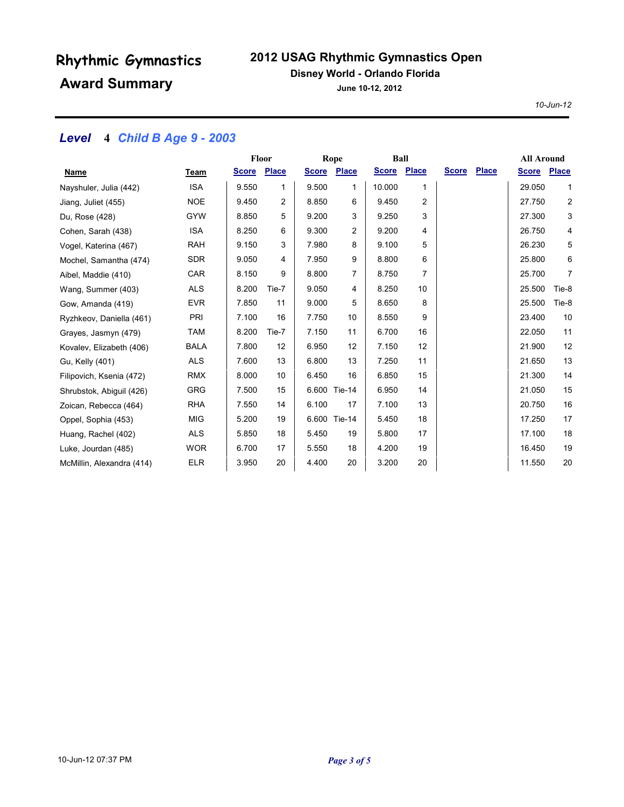## **2012 USAG Rhythmic Gymnastics Open**

#### **Disney World - Orlando Florida**

**June 10-12, 2012**

*10-Jun-12*

## *Level* **4** *Child B Age 9 - 2003*

|                           |             | Floor       |       | Rope         |              | Ball         |              |              |       | <b>All Around</b> |                |
|---------------------------|-------------|-------------|-------|--------------|--------------|--------------|--------------|--------------|-------|-------------------|----------------|
| Name                      | Team        | Score Place |       | <u>Score</u> | <b>Place</b> | <b>Score</b> | <b>Place</b> | <b>Score</b> | Place | <b>Score</b>      | <b>Place</b>   |
| Nayshuler, Julia (442)    | <b>ISA</b>  | 9.550       | 1     | 9.500        | 1            | 10.000       | 1            |              |       | 29.050            | $\mathbf{1}$   |
| Jiang, Juliet (455)       | <b>NOE</b>  | 9.450       | 2     | 8.850        | 6            | 9.450        | 2            |              |       | 27.750            | $\overline{c}$ |
| Du, Rose (428)            | <b>GYW</b>  | 8.850       | 5     | 9.200        | 3            | 9.250        | 3            |              |       | 27.300            | 3              |
| Cohen, Sarah (438)        | <b>ISA</b>  | 8.250       | 6     | 9.300        | 2            | 9.200        | 4            |              |       | 26.750            | 4              |
| Vogel, Katerina (467)     | <b>RAH</b>  | 9.150       | 3     | 7.980        | 8            | 9.100        | 5            |              |       | 26.230            | 5              |
| Mochel, Samantha (474)    | <b>SDR</b>  | 9.050       | 4     | 7.950        | 9            | 8.800        | 6            |              |       | 25.800            | 6              |
| Aibel, Maddie (410)       | CAR         | 8.150       | 9     | 8.800        | 7            | 8.750        | 7            |              |       | 25.700            | 7              |
| Wang, Summer (403)        | <b>ALS</b>  | 8.200       | Tie-7 | 9.050        | 4            | 8.250        | 10           |              |       | 25.500            | Tie-8          |
| Gow, Amanda (419)         | <b>EVR</b>  | 7.850       | 11    | 9.000        | 5            | 8.650        | 8            |              |       | 25.500            | Tie-8          |
| Ryzhkeov, Daniella (461)  | PRI         | 7.100       | 16    | 7.750        | 10           | 8.550        | 9            |              |       | 23.400            | 10             |
| Grayes, Jasmyn (479)      | <b>TAM</b>  | 8.200       | Tie-7 | 7.150        | 11           | 6.700        | 16           |              |       | 22.050            | 11             |
| Kovalev, Elizabeth (406)  | <b>BALA</b> | 7.800       | 12    | 6.950        | 12           | 7.150        | 12           |              |       | 21.900            | 12             |
| Gu, Kelly (401)           | <b>ALS</b>  | 7.600       | 13    | 6.800        | 13           | 7.250        | 11           |              |       | 21.650            | 13             |
| Filipovich, Ksenia (472)  | <b>RMX</b>  | 8.000       | 10    | 6.450        | 16           | 6.850        | 15           |              |       | 21.300            | 14             |
| Shrubstok, Abiguil (426)  | <b>GRG</b>  | 7.500       | 15    |              | 6.600 Tie-14 | 6.950        | 14           |              |       | 21.050            | 15             |
| Zoican, Rebecca (464)     | <b>RHA</b>  | 7.550       | 14    | 6.100        | 17           | 7.100        | 13           |              |       | 20.750            | 16             |
| Oppel, Sophia (453)       | <b>MIG</b>  | 5.200       | 19    |              | 6.600 Tie-14 | 5.450        | 18           |              |       | 17.250            | 17             |
| Huang, Rachel (402)       | <b>ALS</b>  | 5.850       | 18    | 5.450        | 19           | 5.800        | 17           |              |       | 17.100            | 18             |
| Luke, Jourdan (485)       | <b>WOR</b>  | 6.700       | 17    | 5.550        | 18           | 4.200        | 19           |              |       | 16.450            | 19             |
| McMillin, Alexandra (414) | <b>ELR</b>  | 3.950       | 20    | 4.400        | 20           | 3.200        | 20           |              |       | 11.550            | 20             |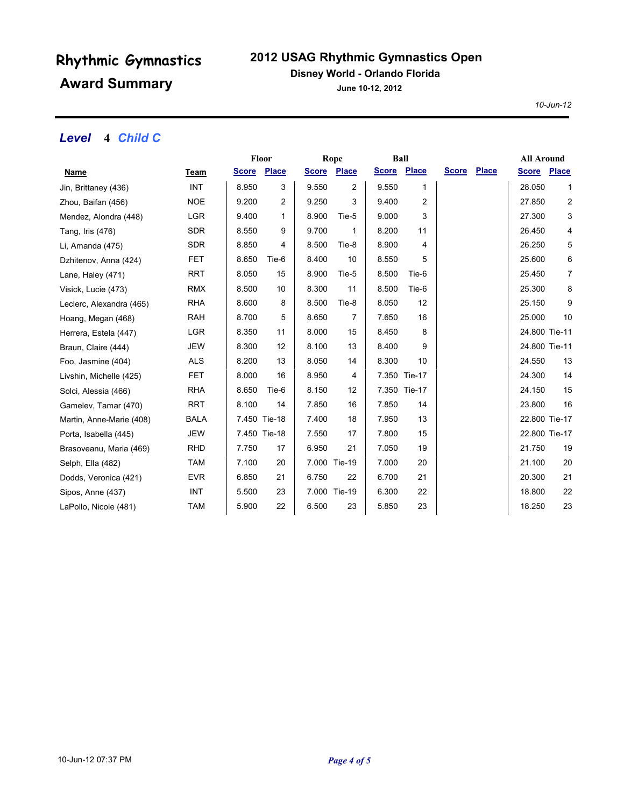## **2012 USAG Rhythmic Gymnastics Open**

### **Disney World - Orlando Florida**

**June 10-12, 2012**

*10-Jun-12*

### *Level* **4** *Child C*

|                          |             |       | Floor<br>Rope      |       |                    | Ball        |                |              | <b>All Around</b> |               |                |
|--------------------------|-------------|-------|--------------------|-------|--------------------|-------------|----------------|--------------|-------------------|---------------|----------------|
| <u>Name</u>              | <b>Team</b> |       | <b>Score Place</b> |       | <b>Score Place</b> | Score Place |                | <b>Score</b> | <b>Place</b>      | <b>Score</b>  | <b>Place</b>   |
| Jin, Brittaney (436)     | <b>INT</b>  | 8.950 | 3                  | 9.550 | $\overline{2}$     | 9.550       | 1              |              |                   | 28.050        | 1              |
| Zhou, Baifan (456)       | <b>NOE</b>  | 9.200 | 2                  | 9.250 | 3                  | 9.400       | $\overline{2}$ |              |                   | 27.850        | $\overline{c}$ |
| Mendez, Alondra (448)    | <b>LGR</b>  | 9.400 | 1                  | 8.900 | Tie-5              | 9.000       | 3              |              |                   | 27.300        | 3              |
| Tang, Iris (476)         | <b>SDR</b>  | 8.550 | 9                  | 9.700 | 1                  | 8.200       | 11             |              |                   | 26.450        | 4              |
| Li, Amanda (475)         | <b>SDR</b>  | 8.850 | 4                  | 8.500 | Tie-8              | 8.900       | 4              |              |                   | 26.250        | 5              |
| Dzhitenov, Anna (424)    | <b>FET</b>  | 8.650 | Tie-6              | 8.400 | 10                 | 8.550       | 5              |              |                   | 25.600        | 6              |
| Lane, Haley (471)        | <b>RRT</b>  | 8.050 | 15                 | 8.900 | Tie-5              | 8.500       | Tie-6          |              |                   | 25.450        | 7              |
| Visick, Lucie (473)      | <b>RMX</b>  | 8.500 | 10                 | 8.300 | 11                 | 8.500       | Tie-6          |              |                   | 25.300        | 8              |
| Leclerc, Alexandra (465) | <b>RHA</b>  | 8.600 | 8                  | 8.500 | Tie-8              | 8.050       | 12             |              |                   | 25.150        | 9              |
| Hoang, Megan (468)       | <b>RAH</b>  | 8.700 | 5                  | 8.650 | 7                  | 7.650       | 16             |              |                   | 25.000        | 10             |
| Herrera, Estela (447)    | <b>LGR</b>  | 8.350 | 11                 | 8.000 | 15                 | 8.450       | 8              |              |                   | 24.800 Tie-11 |                |
| Braun, Claire (444)      | <b>JEW</b>  | 8.300 | 12                 | 8.100 | 13                 | 8.400       | 9              |              |                   | 24.800 Tie-11 |                |
| Foo, Jasmine (404)       | <b>ALS</b>  | 8.200 | 13                 | 8.050 | 14                 | 8.300       | 10             |              |                   | 24.550        | 13             |
| Livshin, Michelle (425)  | <b>FET</b>  | 8.000 | 16                 | 8.950 | 4                  |             | 7.350 Tie-17   |              |                   | 24.300        | 14             |
| Solci, Alessia (466)     | <b>RHA</b>  | 8.650 | Tie-6              | 8.150 | 12                 |             | 7.350 Tie-17   |              |                   | 24.150        | 15             |
| Gamelev, Tamar (470)     | <b>RRT</b>  | 8.100 | 14                 | 7.850 | 16                 | 7.850       | 14             |              |                   | 23.800        | 16             |
| Martin, Anne-Marie (408) | <b>BALA</b> |       | 7.450 Tie-18       | 7.400 | 18                 | 7.950       | 13             |              |                   | 22.800 Tie-17 |                |
| Porta, Isabella (445)    | <b>JEW</b>  |       | 7.450 Tie-18       | 7.550 | 17                 | 7.800       | 15             |              |                   | 22.800 Tie-17 |                |
| Brasoveanu, Maria (469)  | <b>RHD</b>  | 7.750 | 17                 | 6.950 | 21                 | 7.050       | 19             |              |                   | 21.750        | 19             |
| Selph, Ella (482)        | <b>TAM</b>  | 7.100 | 20                 |       | 7.000 Tie-19       | 7.000       | 20             |              |                   | 21.100        | 20             |
| Dodds, Veronica (421)    | <b>EVR</b>  | 6.850 | 21                 | 6.750 | 22                 | 6.700       | 21             |              |                   | 20.300        | 21             |
| Sipos, Anne (437)        | <b>INT</b>  | 5.500 | 23                 |       | 7.000 Tie-19       | 6.300       | 22             |              |                   | 18.800        | 22             |
| LaPollo, Nicole (481)    | <b>TAM</b>  | 5.900 | 22                 | 6.500 | 23                 | 5.850       | 23             |              |                   | 18.250        | 23             |